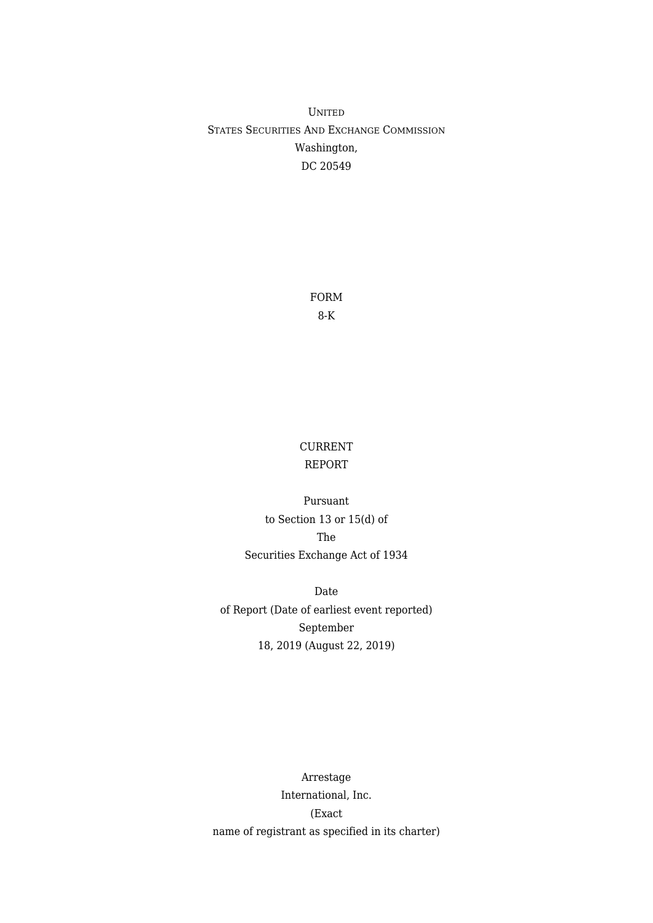UNITED STATES SECURITIES AND EXCHANGE COMMISSION Washington, DC 20549

> FORM 8-K

## CURRENT REPORT

Pursuant to Section 13 or 15(d) of The Securities Exchange Act of 1934

Date of Report (Date of earliest event reported) September 18, 2019 (August 22, 2019)

Arrestage International, Inc. (Exact name of registrant as specified in its charter)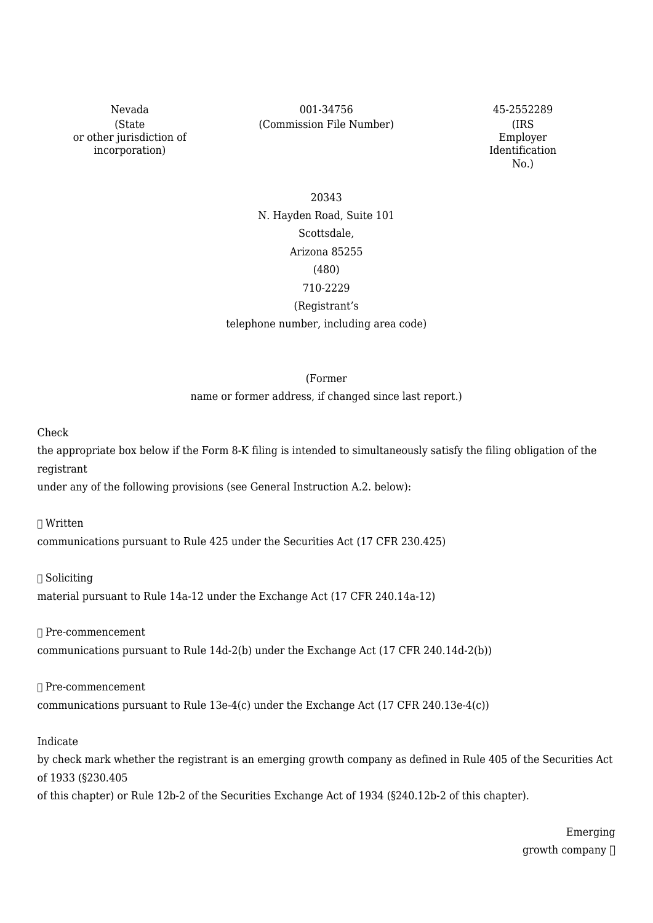(State or other jurisdiction of incorporation)

Nevada 001-34756 45-2552289 (Commission File Number) (IRS

Employer Identification No.)

# 20343 N. Hayden Road, Suite 101 Scottsdale, Arizona 85255 (480) 710-2229 (Registrant's

telephone number, including area code)

#### (Former

name or former address, if changed since last report.)

Check

the appropriate box below if the Form 8-K filing is intended to simultaneously satisfy the filing obligation of the registrant

under any of the following provisions (see General Instruction A.2. below):

☐ Written

communications pursuant to Rule 425 under the Securities Act (17 CFR 230.425)

☐ Soliciting

material pursuant to Rule 14a-12 under the Exchange Act (17 CFR 240.14a-12)

☐ Pre-commencement

communications pursuant to Rule 14d-2(b) under the Exchange Act (17 CFR 240.14d-2(b))

☐ Pre-commencement

communications pursuant to Rule 13e-4(c) under the Exchange Act (17 CFR 240.13e-4(c))

Indicate

by check mark whether the registrant is an emerging growth company as defined in Rule 405 of the Securities Act of 1933 (§230.405

of this chapter) or Rule 12b-2 of the Securities Exchange Act of 1934 (§240.12b-2 of this chapter).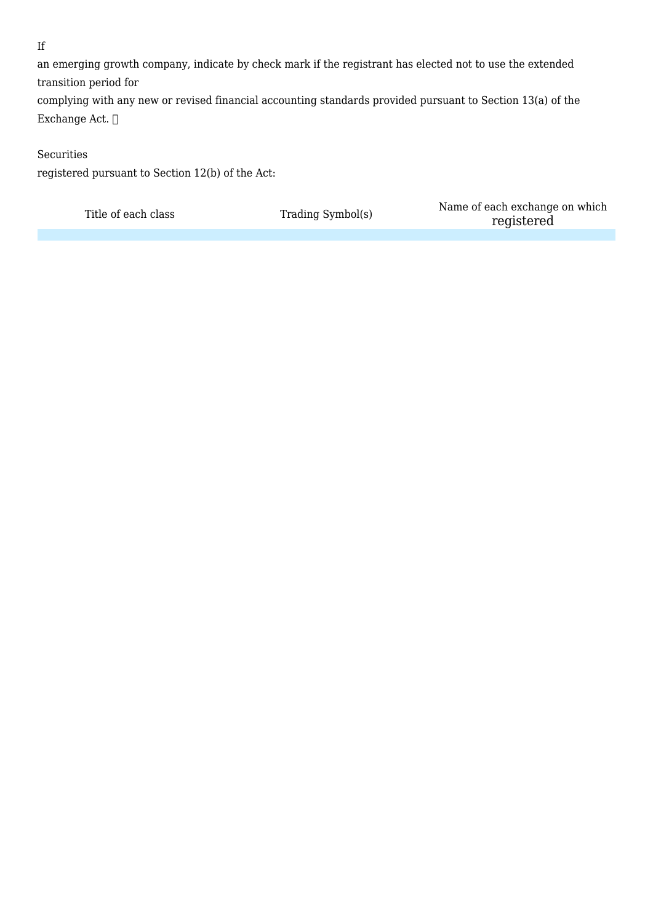## If

an emerging growth company, indicate by check mark if the registrant has elected not to use the extended transition period for

complying with any new or revised financial accounting standards provided pursuant to Section 13(a) of the Exchange Act. ☐

### Securities

registered pursuant to Section 12(b) of the Act:

Title of each class Trading Symbol(s) Name of each exchange on which<br>magnetic product of each class Trading Symbol(s) registered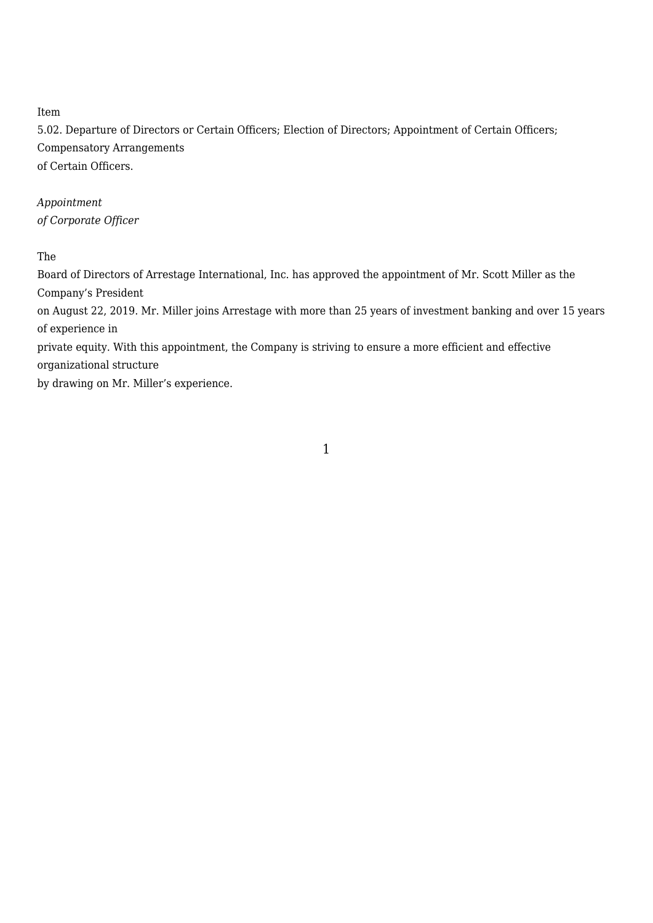## Item

5.02. Departure of Directors or Certain Officers; Election of Directors; Appointment of Certain Officers; Compensatory Arrangements of Certain Officers.

# *Appointment of Corporate Officer*

## The

Board of Directors of Arrestage International, Inc. has approved the appointment of Mr. Scott Miller as the Company's President on August 22, 2019. Mr. Miller joins Arrestage with more than 25 years of investment banking and over 15 years of experience in private equity. With this appointment, the Company is striving to ensure a more efficient and effective organizational structure

by drawing on Mr. Miller's experience.

1